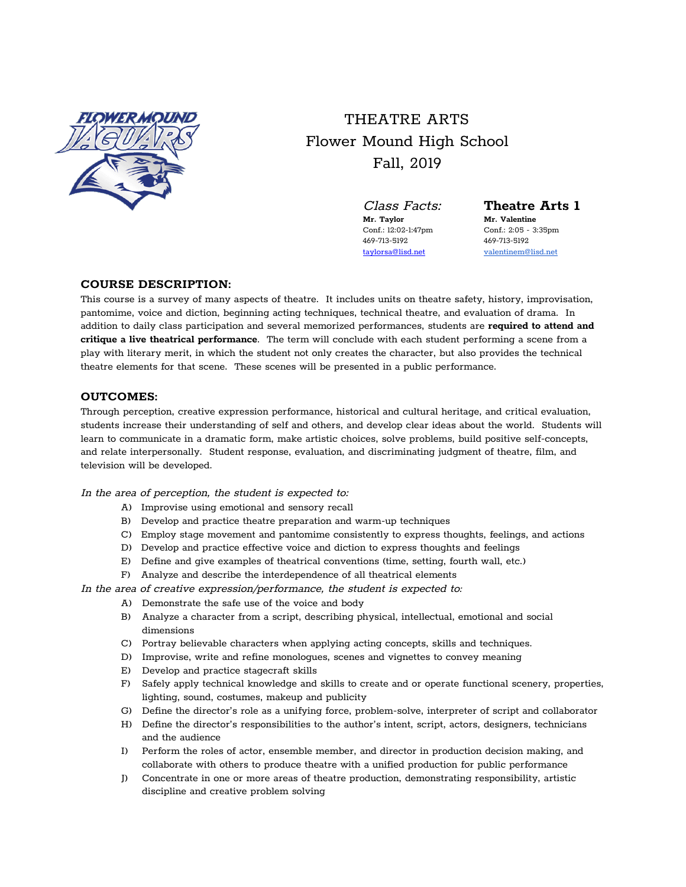

# THEATRE ARTS Flower Mound High School Fall, 2019

Class Facts: **Theatre Arts 1**

469-713-5192<br>  $469-713-5192$ <br>  $taylorsa@list.net$ <br>
valentinem@

**Mr. Taylor Mr. Valentine** Conf.: 12:02-1:47pm Conf.: 2:05 - 3:35pm [valentinem@lisd.net](mailto:valentinem@lisd.net)

## **COURSE DESCRIPTION:**

This course is a survey of many aspects of theatre. It includes units on theatre safety, history, improvisation, pantomime, voice and diction, beginning acting techniques, technical theatre, and evaluation of drama. In addition to daily class participation and several memorized performances, students are **required to attend and critique a live theatrical performance**. The term will conclude with each student performing a scene from a play with literary merit, in which the student not only creates the character, but also provides the technical theatre elements for that scene. These scenes will be presented in a public performance.

#### **OUTCOMES:**

Through perception, creative expression performance, historical and cultural heritage, and critical evaluation, students increase their understanding of self and others, and develop clear ideas about the world. Students will learn to communicate in a dramatic form, make artistic choices, solve problems, build positive self-concepts, and relate interpersonally. Student response, evaluation, and discriminating judgment of theatre, film, and television will be developed.

#### In the area of perception, the student is expected to:

- A) Improvise using emotional and sensory recall
- B) Develop and practice theatre preparation and warm-up techniques
- C) Employ stage movement and pantomime consistently to express thoughts, feelings, and actions
- D) Develop and practice effective voice and diction to express thoughts and feelings
- E) Define and give examples of theatrical conventions (time, setting, fourth wall, etc.)
- F) Analyze and describe the interdependence of all theatrical elements

In the area of creative expression/performance, the student is expected to:

- A) Demonstrate the safe use of the voice and body
- B) Analyze a character from a script, describing physical, intellectual, emotional and social dimensions
- C) Portray believable characters when applying acting concepts, skills and techniques.
- D) Improvise, write and refine monologues, scenes and vignettes to convey meaning
- E) Develop and practice stagecraft skills
- F) Safely apply technical knowledge and skills to create and or operate functional scenery, properties, lighting, sound, costumes, makeup and publicity
- G) Define the director's role as a unifying force, problem-solve, interpreter of script and collaborator
- H) Define the director's responsibilities to the author's intent, script, actors, designers, technicians and the audience
- I) Perform the roles of actor, ensemble member, and director in production decision making, and collaborate with others to produce theatre with a unified production for public performance
- J) Concentrate in one or more areas of theatre production, demonstrating responsibility, artistic discipline and creative problem solving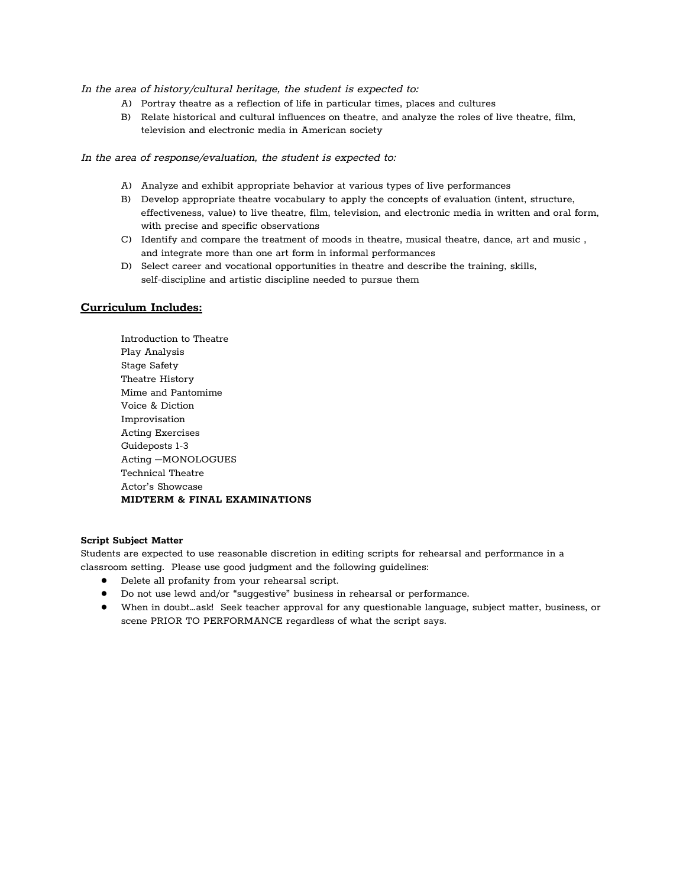#### In the area of history/cultural heritage, the student is expected to:

- A) Portray theatre as a reflection of life in particular times, places and cultures
- B) Relate historical and cultural influences on theatre, and analyze the roles of live theatre, film, television and electronic media in American society

#### In the area of response/evaluation, the student is expected to:

- A) Analyze and exhibit appropriate behavior at various types of live performances
- B) Develop appropriate theatre vocabulary to apply the concepts of evaluation (intent, structure, effectiveness, value) to live theatre, film, television, and electronic media in written and oral form, with precise and specific observations
- C) Identify and compare the treatment of moods in theatre, musical theatre, dance, art and music , and integrate more than one art form in informal performances
- D) Select career and vocational opportunities in theatre and describe the training, skills, self-discipline and artistic discipline needed to pursue them

### **Curriculum Includes:**

Introduction to Theatre Play Analysis Stage Safety Theatre History Mime and Pantomime Voice & Diction Improvisation Acting Exercises Guideposts 1-3 Acting –MONOLOGUES Technical Theatre Actor's Showcase **MIDTERM & FINAL EXAMINATIONS**

#### **Script Subject Matter**

Students are expected to use reasonable discretion in editing scripts for rehearsal and performance in a classroom setting. Please use good judgment and the following guidelines:

- Delete all profanity from your rehearsal script.
- Do not use lewd and/or "suggestive" business in rehearsal or performance.
- When in doubt…ask! Seek teacher approval for any questionable language, subject matter, business, or scene PRIOR TO PERFORMANCE regardless of what the script says.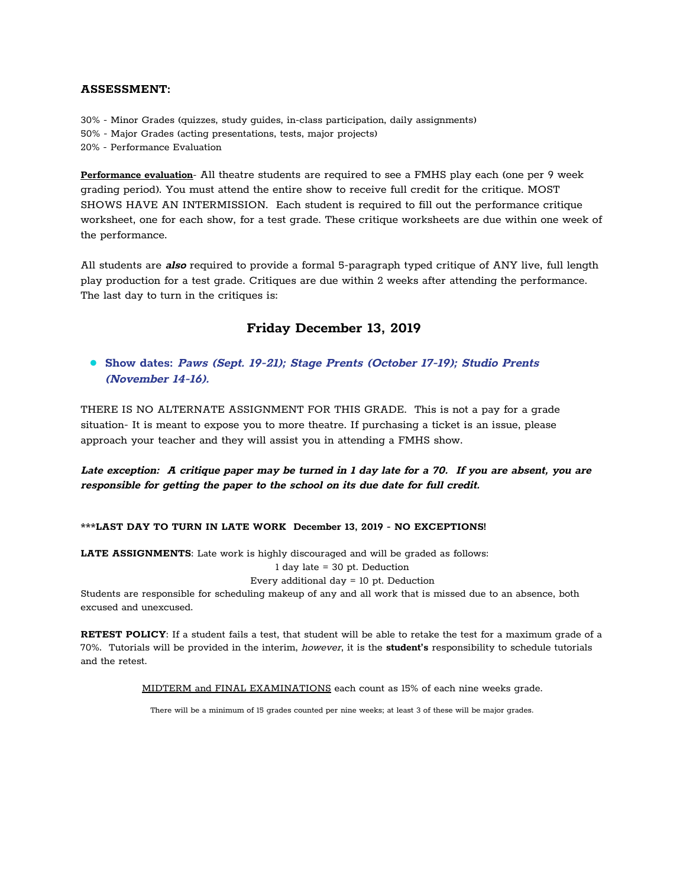### **ASSESSMENT:**

30% - Minor Grades (quizzes, study guides, in-class participation, daily assignments) 50% - Major Grades (acting presentations, tests, major projects) 20% - Performance Evaluation

**Performance evaluation**- All theatre students are required to see a FMHS play each (one per 9 week grading period). You must attend the entire show to receive full credit for the critique. MOST SHOWS HAVE AN INTERMISSION. Each student is required to fill out the performance critique worksheet, one for each show, for a test grade. These critique worksheets are due within one week of the performance.

All students are **also** required to provide a formal 5-paragraph typed critique of ANY live, full length play production for a test grade. Critiques are due within 2 weeks after attending the performance. The last day to turn in the critiques is:

# **Friday December 13, 2019**

# **● Show dates: Paws (Sept. 19-21); Stage Prents (October 17-19); Studio Prents (November 14-16).**

THERE IS NO ALTERNATE ASSIGNMENT FOR THIS GRADE. This is not a pay for a grade situation- It is meant to expose you to more theatre. If purchasing a ticket is an issue, please approach your teacher and they will assist you in attending a FMHS show.

Late exception: A critique paper may be turned in 1 day late for a 70. If you are absent, you are **responsible for getting the paper to the school on its due date for full credit.**

#### **\*\*\*LAST DAY TO TURN IN LATE WORK December 13, 2019 - NO EXCEPTIONS!**

**LATE ASSIGNMENTS**: Late work is highly discouraged and will be graded as follows:

1 day late = 30 pt. Deduction

Every additional day = 10 pt. Deduction

Students are responsible for scheduling makeup of any and all work that is missed due to an absence, both excused and unexcused.

**RETEST POLICY**: If a student fails a test, that student will be able to retake the test for a maximum grade of a 70%. Tutorials will be provided in the interim, however, it is the **student's** responsibility to schedule tutorials and the retest.

MIDTERM and FINAL EXAMINATIONS each count as 15% of each nine weeks grade.

There will be a minimum of 15 grades counted per nine weeks; at least 3 of these will be major grades.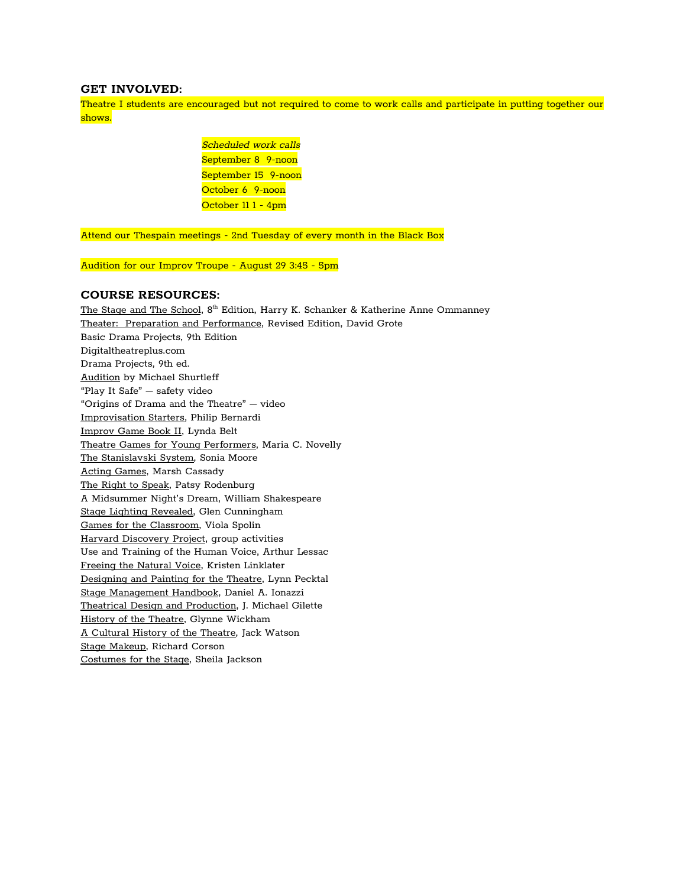#### **GET INVOLVED:**

Theatre I students are encouraged but not required to come to work calls and participate in putting together our shows.

> Scheduled work calls September 8 9-noon September 15 9-noon October 6 9-noon October 11 1 - 4pm

Attend our Thespain meetings - 2nd Tuesday of every month in the Black Box

Audition for our Improv Troupe - August 29 3:45 - 5pm

#### **COURSE RESOURCES:**

The Stage and The School, 8<sup>th</sup> Edition, Harry K. Schanker & Katherine Anne Ommanney Theater: Preparation and Performance, Revised Edition, David Grote Basic Drama Projects, 9th Edition Digitaltheatreplus.com Drama Projects, 9th ed. Audition by Michael Shurtleff "Play It Safe" – safety video "Origins of Drama and the Theatre" – video Improvisation Starters, Philip Bernardi Improv Game Book II, Lynda Belt Theatre Games for Young Performers, Maria C. Novelly The Stanislavski System, Sonia Moore Acting Games, Marsh Cassady The Right to Speak, Patsy Rodenburg A Midsummer Night's Dream, William Shakespeare Stage Lighting Revealed, Glen Cunningham Games for the Classroom, Viola Spolin Harvard Discovery Project, group activities Use and Training of the Human Voice, Arthur Lessac Freeing the Natural Voice, Kristen Linklater Designing and Painting for the Theatre, Lynn Pecktal Stage Management Handbook, Daniel A. Ionazzi Theatrical Design and Production, J. Michael Gilette History of the Theatre, Glynne Wickham A Cultural History of the Theatre, Jack Watson Stage Makeup, Richard Corson Costumes for the Stage, Sheila Jackson